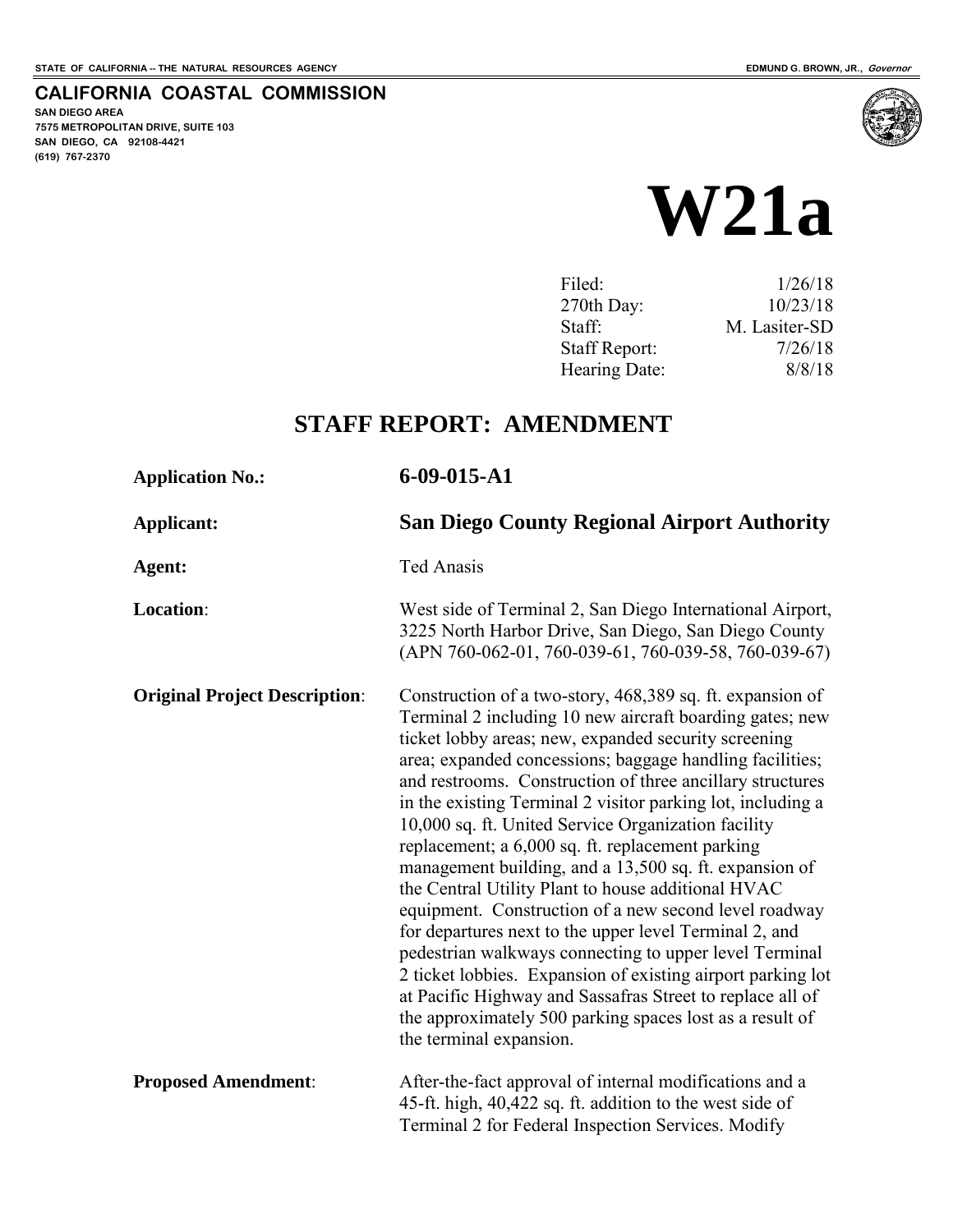**SAN DIEGO AREA** 

**(619) 767-2370**

**7575 METROPOLITAN DRIVE, SUITE 103 SAN DIEGO, CA 92108-4421**

**CALIFORNIA COASTAL COMMISSION** 

# **W21a**

| Filed:               | 1/26/18       |
|----------------------|---------------|
| 270th Day:           | 10/23/18      |
| Staff:               | M. Lasiter-SD |
| <b>Staff Report:</b> | 7/26/18       |
| Hearing Date:        | 8/8/18        |
|                      |               |

# **STAFF REPORT: AMENDMENT**

| <b>Application No.:</b>              | $6-09-015- A1$                                                                                                                                                                                                                                                                                                                                                                                                                                                                                                                                                                                                                                                                                                                                                                                                                                                                                                                                                                                   |
|--------------------------------------|--------------------------------------------------------------------------------------------------------------------------------------------------------------------------------------------------------------------------------------------------------------------------------------------------------------------------------------------------------------------------------------------------------------------------------------------------------------------------------------------------------------------------------------------------------------------------------------------------------------------------------------------------------------------------------------------------------------------------------------------------------------------------------------------------------------------------------------------------------------------------------------------------------------------------------------------------------------------------------------------------|
| <b>Applicant:</b>                    | <b>San Diego County Regional Airport Authority</b>                                                                                                                                                                                                                                                                                                                                                                                                                                                                                                                                                                                                                                                                                                                                                                                                                                                                                                                                               |
| Agent:                               | <b>Ted Anasis</b>                                                                                                                                                                                                                                                                                                                                                                                                                                                                                                                                                                                                                                                                                                                                                                                                                                                                                                                                                                                |
| Location:                            | West side of Terminal 2, San Diego International Airport,<br>3225 North Harbor Drive, San Diego, San Diego County<br>(APN 760-062-01, 760-039-61, 760-039-58, 760-039-67)                                                                                                                                                                                                                                                                                                                                                                                                                                                                                                                                                                                                                                                                                                                                                                                                                        |
| <b>Original Project Description:</b> | Construction of a two-story, 468,389 sq. ft. expansion of<br>Terminal 2 including 10 new aircraft boarding gates; new<br>ticket lobby areas; new, expanded security screening<br>area; expanded concessions; baggage handling facilities;<br>and restrooms. Construction of three ancillary structures<br>in the existing Terminal 2 visitor parking lot, including a<br>10,000 sq. ft. United Service Organization facility<br>replacement; a 6,000 sq. ft. replacement parking<br>management building, and a 13,500 sq. ft. expansion of<br>the Central Utility Plant to house additional HVAC<br>equipment. Construction of a new second level roadway<br>for departures next to the upper level Terminal 2, and<br>pedestrian walkways connecting to upper level Terminal<br>2 ticket lobbies. Expansion of existing airport parking lot<br>at Pacific Highway and Sassafras Street to replace all of<br>the approximately 500 parking spaces lost as a result of<br>the terminal expansion. |
| <b>Proposed Amendment:</b>           | After-the-fact approval of internal modifications and a<br>45-ft. high, 40,422 sq. ft. addition to the west side of<br>Terminal 2 for Federal Inspection Services. Modify                                                                                                                                                                                                                                                                                                                                                                                                                                                                                                                                                                                                                                                                                                                                                                                                                        |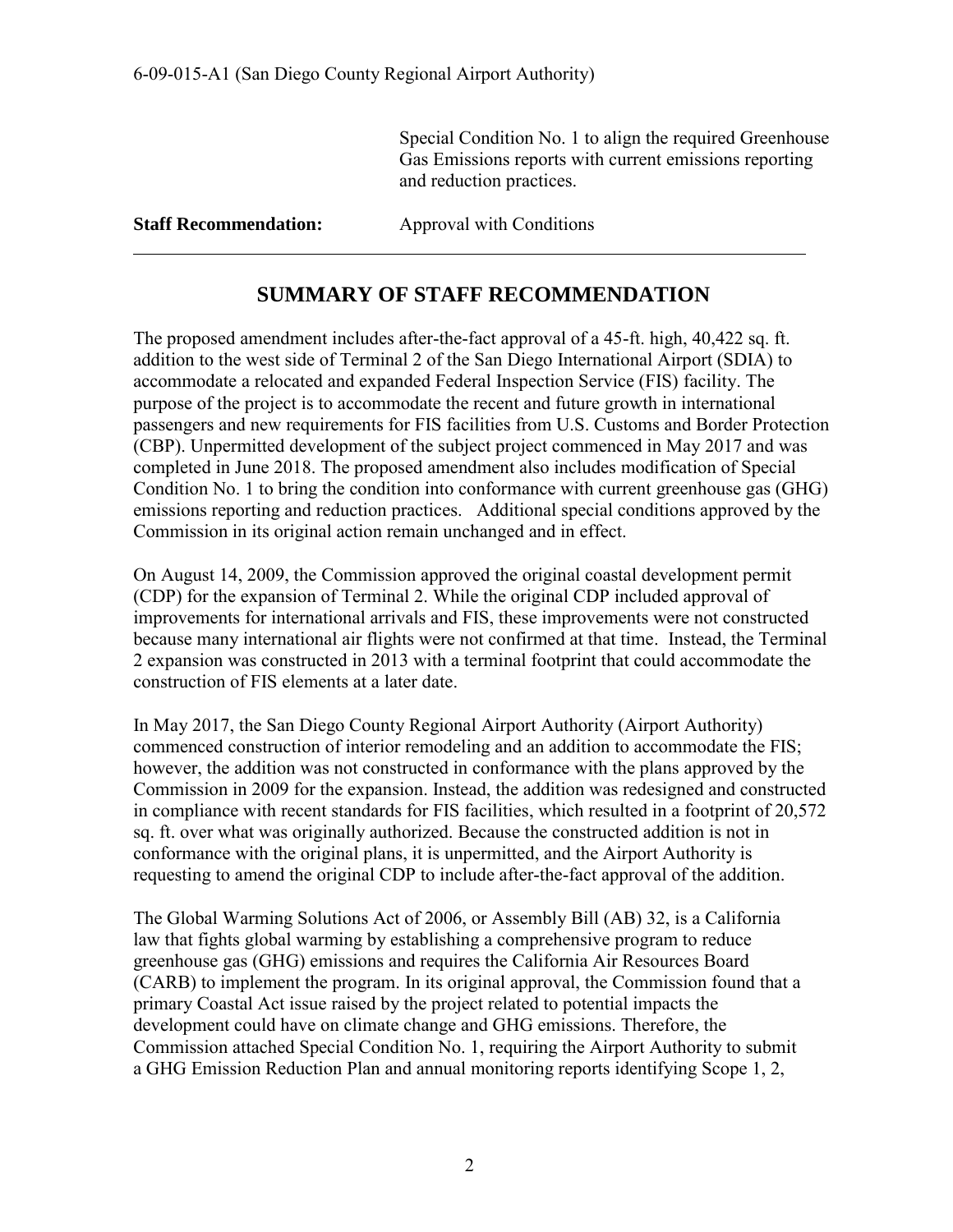Special Condition No. 1 to align the required Greenhouse Gas Emissions reports with current emissions reporting and reduction practices.

**Staff Recommendation:** Approval with Conditions

 $\overline{a}$ 

# **SUMMARY OF STAFF RECOMMENDATION**

The proposed amendment includes after-the-fact approval of a 45-ft. high, 40,422 sq. ft. addition to the west side of Terminal 2 of the San Diego International Airport (SDIA) to accommodate a relocated and expanded Federal Inspection Service (FIS) facility. The purpose of the project is to accommodate the recent and future growth in international passengers and new requirements for FIS facilities from U.S. Customs and Border Protection (CBP). Unpermitted development of the subject project commenced in May 2017 and was completed in June 2018. The proposed amendment also includes modification of Special Condition No. 1 to bring the condition into conformance with current greenhouse gas (GHG) emissions reporting and reduction practices. Additional special conditions approved by the Commission in its original action remain unchanged and in effect.

On August 14, 2009, the Commission approved the original coastal development permit (CDP) for the expansion of Terminal 2. While the original CDP included approval of improvements for international arrivals and FIS, these improvements were not constructed because many international air flights were not confirmed at that time. Instead, the Terminal 2 expansion was constructed in 2013 with a terminal footprint that could accommodate the construction of FIS elements at a later date.

In May 2017, the San Diego County Regional Airport Authority (Airport Authority) commenced construction of interior remodeling and an addition to accommodate the FIS; however, the addition was not constructed in conformance with the plans approved by the Commission in 2009 for the expansion. Instead, the addition was redesigned and constructed in compliance with recent standards for FIS facilities, which resulted in a footprint of 20,572 sq. ft. over what was originally authorized. Because the constructed addition is not in conformance with the original plans, it is unpermitted, and the Airport Authority is requesting to amend the original CDP to include after-the-fact approval of the addition.

The Global Warming Solutions Act of 2006, or Assembly Bill (AB) 32, is a California law that fights global warming by establishing a comprehensive program to reduce greenhouse gas (GHG) emissions and requires the California Air Resources Board (CARB) to implement the program. In its original approval, the Commission found that a primary Coastal Act issue raised by the project related to potential impacts the development could have on climate change and GHG emissions. Therefore, the Commission attached Special Condition No. 1, requiring the Airport Authority to submit a GHG Emission Reduction Plan and annual monitoring reports identifying Scope 1, 2,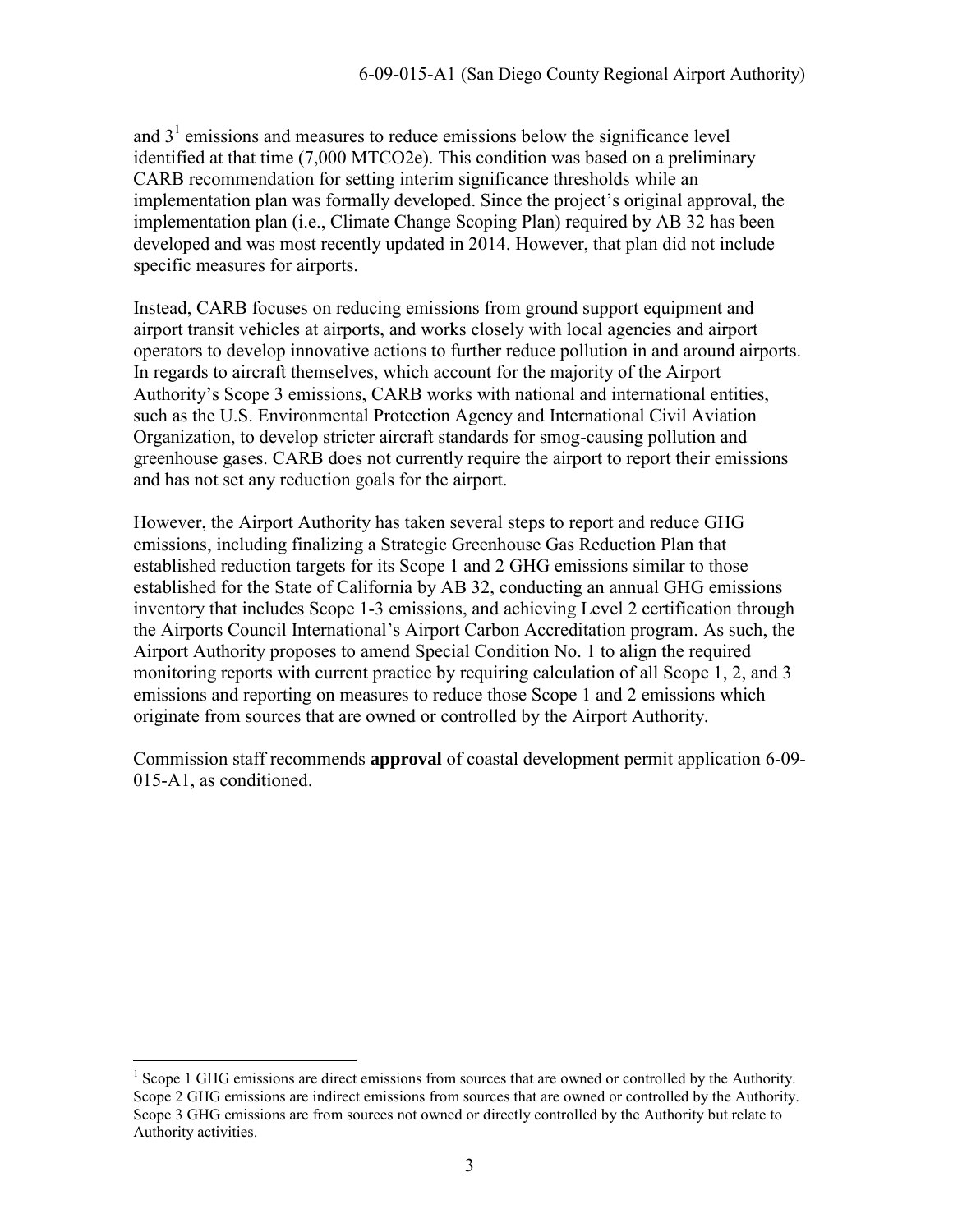and  $3<sup>1</sup>$  emissions and measures to reduce emissions below the significance level identified at that time (7,000 MTCO2e). This condition was based on a preliminary CARB recommendation for setting interim significance thresholds while an implementation plan was formally developed. Since the project's original approval, the implementation plan (i.e., Climate Change Scoping Plan) required by AB 32 has been developed and was most recently updated in 2014. However, that plan did not include specific measures for airports.

Instead, CARB focuses on reducing emissions from ground support equipment and airport transit vehicles at airports, and works closely with local agencies and airport operators to develop innovative actions to further reduce pollution in and around airports. In regards to aircraft themselves, which account for the majority of the Airport Authority's Scope 3 emissions, CARB works with national and international entities, such as the U.S. Environmental Protection Agency and International Civil Aviation Organization, to develop stricter aircraft standards for smog-causing pollution and greenhouse gases. CARB does not currently require the airport to report their emissions and has not set any reduction goals for the airport.

However, the Airport Authority has taken several steps to report and reduce GHG emissions, including finalizing a Strategic Greenhouse Gas Reduction Plan that established reduction targets for its Scope 1 and 2 GHG emissions similar to those established for the State of California by AB 32, conducting an annual GHG emissions inventory that includes Scope 1-3 emissions, and achieving Level 2 certification through the Airports Council International's Airport Carbon Accreditation program. As such, the Airport Authority proposes to amend Special Condition No. 1 to align the required monitoring reports with current practice by requiring calculation of all Scope 1, 2, and 3 emissions and reporting on measures to reduce those Scope 1 and 2 emissions which originate from sources that are owned or controlled by the Airport Authority.

Commission staff recommends **approval** of coastal development permit application 6-09- 015-A1, as conditioned.

<sup>&</sup>lt;sup>1</sup> Scope 1 GHG emissions are direct emissions from sources that are owned or controlled by the Authority. Scope 2 GHG emissions are indirect emissions from sources that are owned or controlled by the Authority. Scope 3 GHG emissions are from sources not owned or directly controlled by the Authority but relate to Authority activities.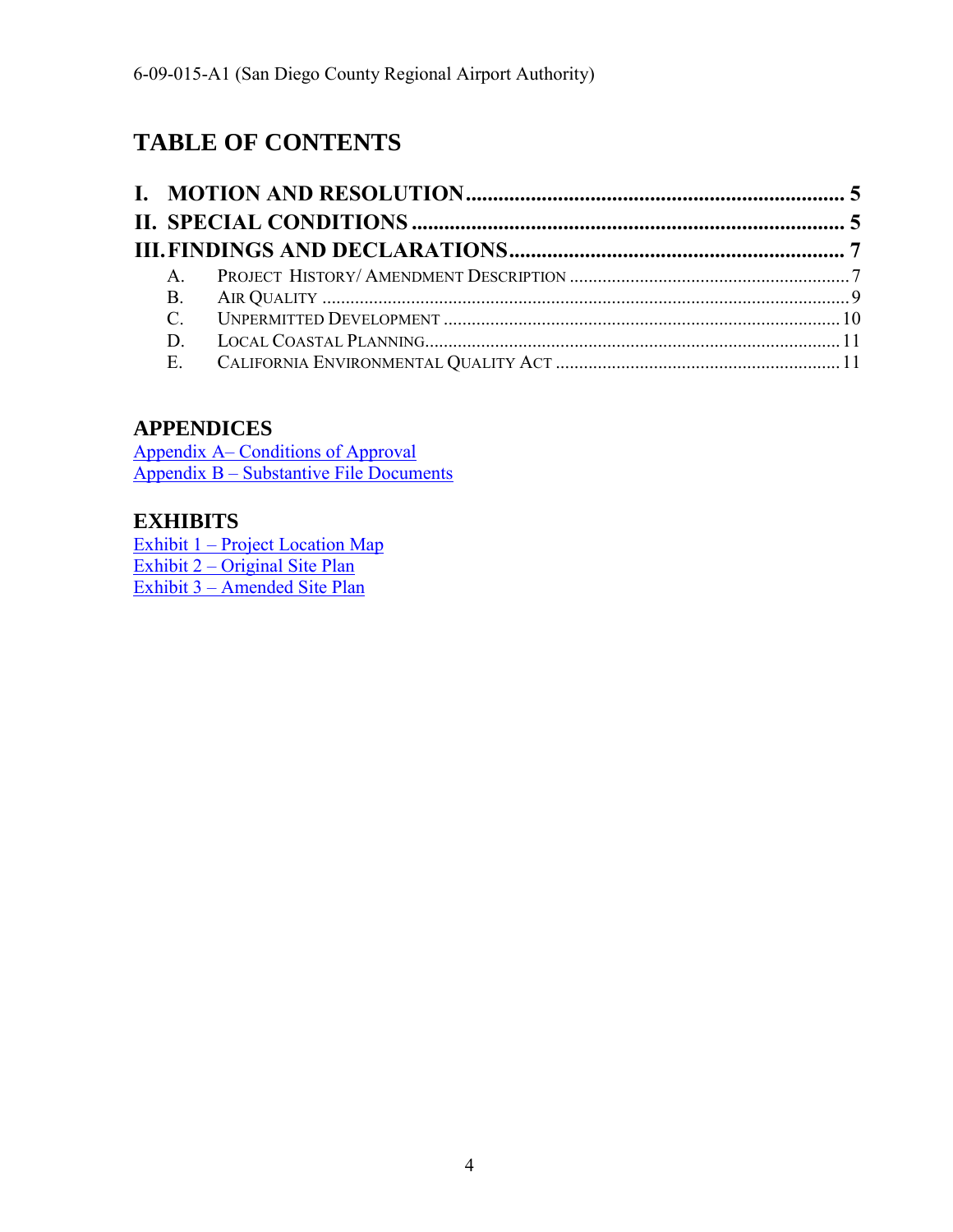# **TABLE OF CONTENTS**

# **APPENDICES**

[Appendix A– Conditions of Approval](#page-16-0)  [Appendix B – Substantive File Documents](#page-16-0)

# **EXHIBITS**

[Exhibit 1 – Project Location Map](https://documents.coastal.ca.gov/reports/2018/8/w21a/w21a-8-2018-exhibits.pdf)  [Exhibit 2 – Original Site Plan](https://documents.coastal.ca.gov/reports/2018/8/w21a/w21a-8-2018-exhibits.pdf)  [Exhibit 3 – Amended Site Plan](https://documents.coastal.ca.gov/reports/2018/8/w21a/w21a-8-2018-exhibits.pdf)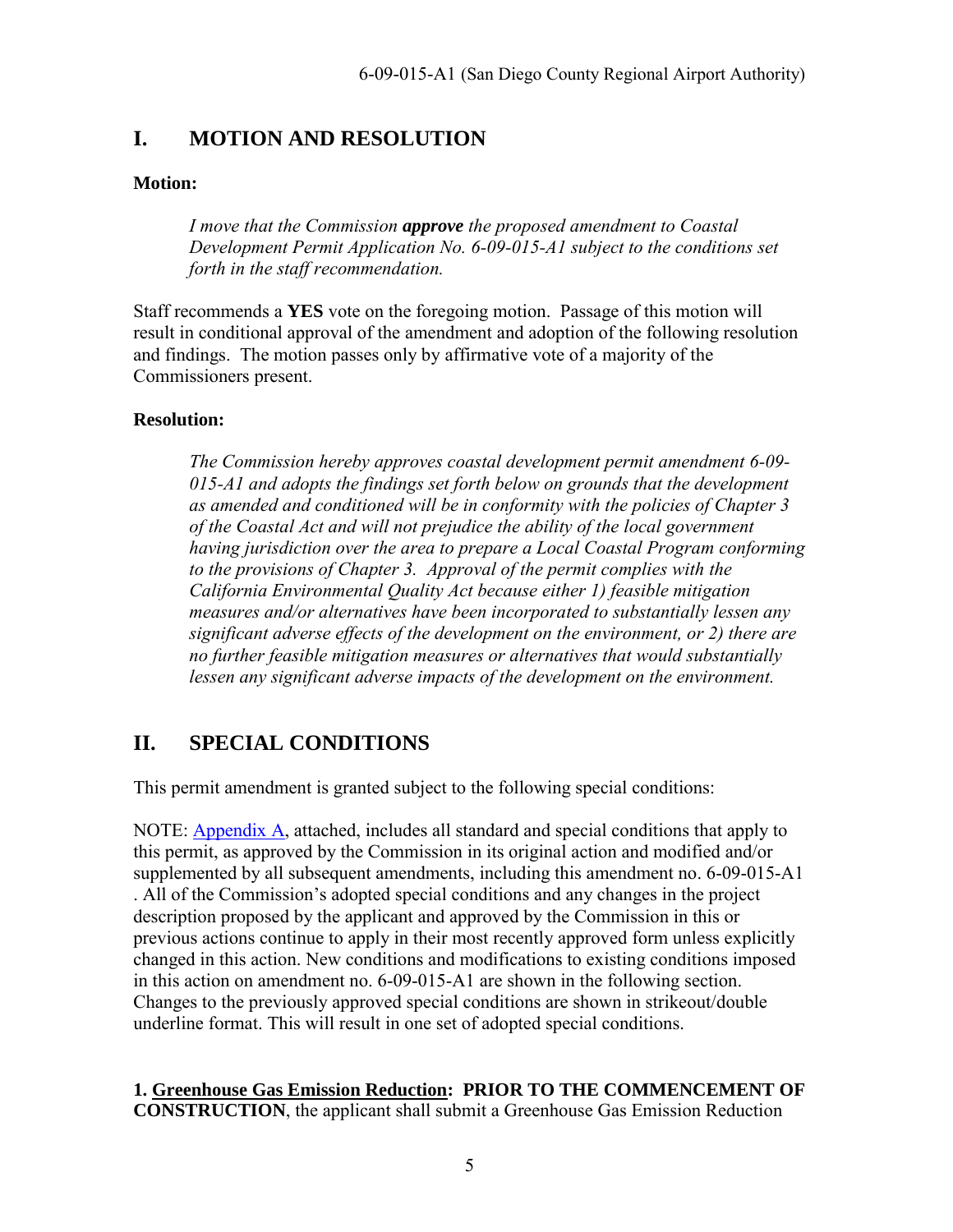# <span id="page-4-0"></span>**I. MOTION AND RESOLUTION**

#### **Motion:**

*I move that the Commission approve the proposed amendment to Coastal Development Permit Application No. 6-09-015-A1 subject to the conditions set forth in the staff recommendation.* 

Staff recommends a **YES** vote on the foregoing motion. Passage of this motion will result in conditional approval of the amendment and adoption of the following resolution and findings. The motion passes only by affirmative vote of a majority of the Commissioners present.

### **Resolution:**

*The Commission hereby approves coastal development permit amendment 6-09- 015-A1 and adopts the findings set forth below on grounds that the development as amended and conditioned will be in conformity with the policies of Chapter 3 of the Coastal Act and will not prejudice the ability of the local government having jurisdiction over the area to prepare a Local Coastal Program conforming to the provisions of Chapter 3. Approval of the permit complies with the California Environmental Quality Act because either 1) feasible mitigation measures and/or alternatives have been incorporated to substantially lessen any significant adverse effects of the development on the environment, or 2) there are no further feasible mitigation measures or alternatives that would substantially lessen any significant adverse impacts of the development on the environment.* 

# <span id="page-4-1"></span>**II. SPECIAL CONDITIONS**

This permit amendment is granted subject to the following special conditions:

NOTE: [Appendix A,](#page-12-0) attached, includes all standard and special conditions that apply to this permit, as approved by the Commission in its original action and modified and/or supplemented by all subsequent amendments, including this amendment no. 6-09-015-A1

. All of the Commission's adopted special conditions and any changes in the project description proposed by the applicant and approved by the Commission in this or previous actions continue to apply in their most recently approved form unless explicitly changed in this action. New conditions and modifications to existing conditions imposed in this action on amendment no. 6-09-015-A1 are shown in the following section. Changes to the previously approved special conditions are shown in strikeout/double underline format. This will result in one set of adopted special conditions.

#### **1. Greenhouse Gas Emission Reduction: PRIOR TO THE COMMENCEMENT OF CONSTRUCTION**, the applicant shall submit a Greenhouse Gas Emission Reduction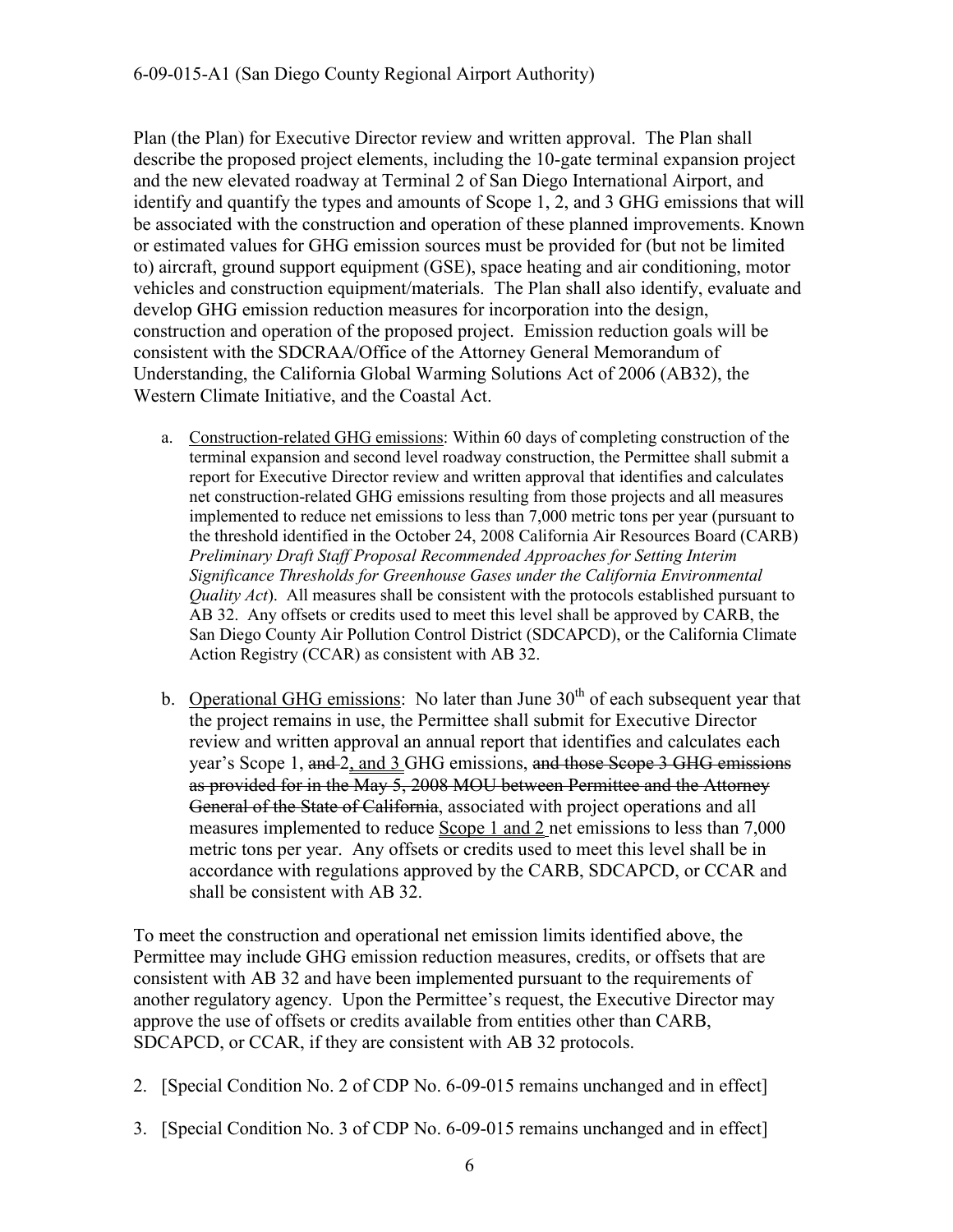Plan (the Plan) for Executive Director review and written approval. The Plan shall describe the proposed project elements, including the 10-gate terminal expansion project and the new elevated roadway at Terminal 2 of San Diego International Airport, and identify and quantify the types and amounts of Scope 1, 2, and 3 GHG emissions that will be associated with the construction and operation of these planned improvements. Known or estimated values for GHG emission sources must be provided for (but not be limited to) aircraft, ground support equipment (GSE), space heating and air conditioning, motor vehicles and construction equipment/materials. The Plan shall also identify, evaluate and develop GHG emission reduction measures for incorporation into the design, construction and operation of the proposed project. Emission reduction goals will be consistent with the SDCRAA/Office of the Attorney General Memorandum of Understanding, the California Global Warming Solutions Act of 2006 (AB32), the Western Climate Initiative, and the Coastal Act.

- a. Construction-related GHG emissions: Within 60 days of completing construction of the terminal expansion and second level roadway construction, the Permittee shall submit a report for Executive Director review and written approval that identifies and calculates net construction-related GHG emissions resulting from those projects and all measures implemented to reduce net emissions to less than 7,000 metric tons per year (pursuant to the threshold identified in the October 24, 2008 California Air Resources Board (CARB) *Preliminary Draft Staff Proposal Recommended Approaches for Setting Interim Significance Thresholds for Greenhouse Gases under the California Environmental Quality Act*). All measures shall be consistent with the protocols established pursuant to AB 32. Any offsets or credits used to meet this level shall be approved by CARB, the San Diego County Air Pollution Control District (SDCAPCD), or the California Climate Action Registry (CCAR) as consistent with AB 32.
- b. Operational GHG emissions: No later than June  $30<sup>th</sup>$  of each subsequent year that the project remains in use, the Permittee shall submit for Executive Director review and written approval an annual report that identifies and calculates each year's Scope 1, and 2, and 3 GHG emissions, and those Scope 3 GHG emissions as provided for in the May 5, 2008 MOU between Permittee and the Attorney General of the State of California, associated with project operations and all measures implemented to reduce Scope 1 and 2 net emissions to less than 7,000 metric tons per year. Any offsets or credits used to meet this level shall be in accordance with regulations approved by the CARB, SDCAPCD, or CCAR and shall be consistent with AB 32.

To meet the construction and operational net emission limits identified above, the Permittee may include GHG emission reduction measures, credits, or offsets that are consistent with AB 32 and have been implemented pursuant to the requirements of another regulatory agency. Upon the Permittee's request, the Executive Director may approve the use of offsets or credits available from entities other than CARB, SDCAPCD, or CCAR, if they are consistent with AB 32 protocols.

- 2. [Special Condition No. 2 of CDP No. 6-09-015 remains unchanged and in effect]
- 3. [Special Condition No. 3 of CDP No. 6-09-015 remains unchanged and in effect]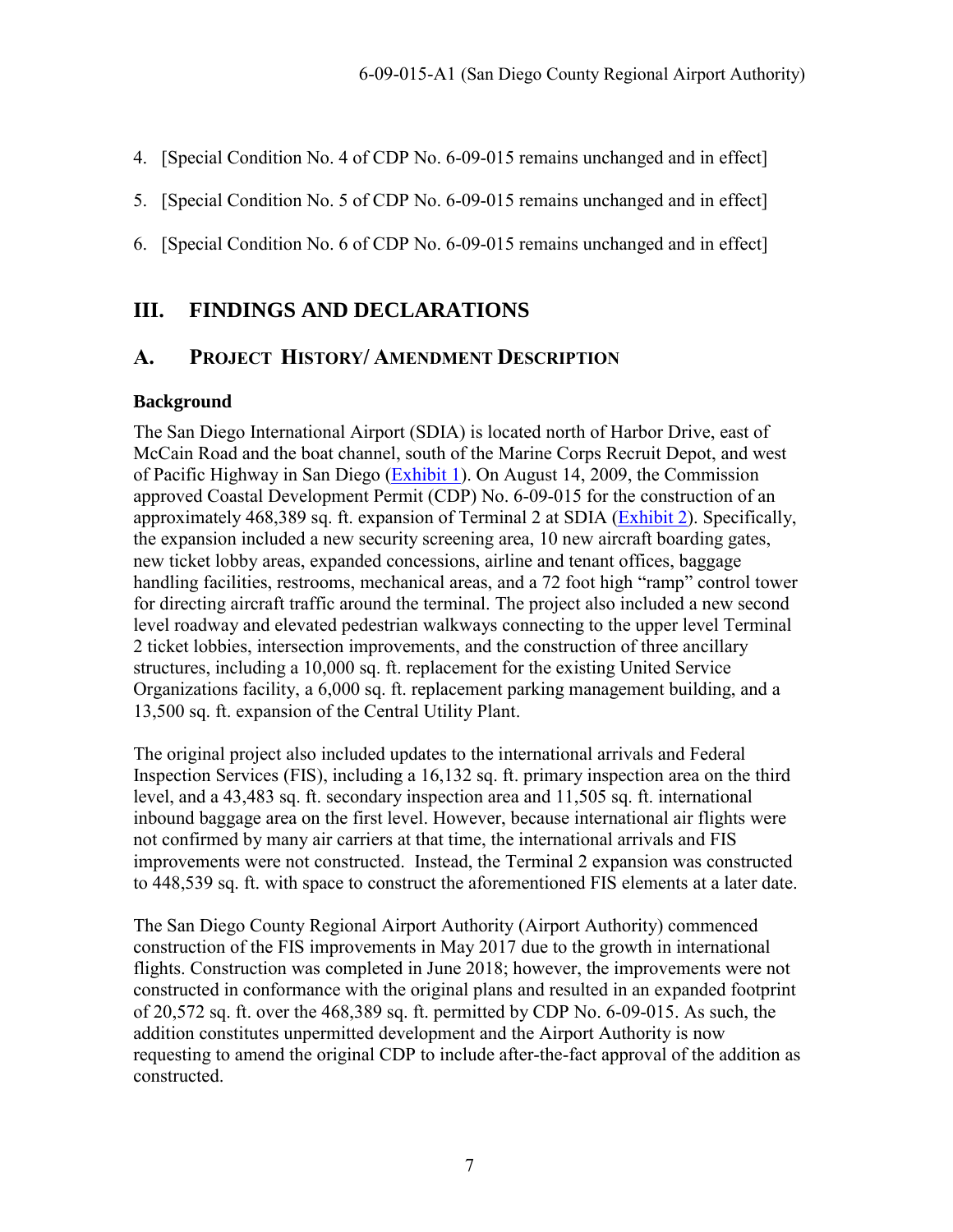- 4. [Special Condition No. 4 of CDP No. 6-09-015 remains unchanged and in effect]
- 5. [Special Condition No. 5 of CDP No. 6-09-015 remains unchanged and in effect]
- 6. [Special Condition No. 6 of CDP No. 6-09-015 remains unchanged and in effect]

# <span id="page-6-0"></span>**III. FINDINGS AND DECLARATIONS**

### <span id="page-6-1"></span>**A. PROJECT HISTORY/ AMENDMENT DESCRIPTION**

#### **Background**

The San Diego International Airport (SDIA) is located north of Harbor Drive, east of McCain Road and the boat channel, south of the Marine Corps Recruit Depot, and west of Pacific Highway in San Diego [\(Exhibit 1\)](https://documents.coastal.ca.gov/reports/2018/8/w21a/w21a-8-2018-exhibits.pdf). On August 14, 2009, the Commission approved Coastal Development Permit (CDP) No. 6-09-015 for the construction of an approximately 468,389 sq. ft. expansion of Terminal 2 at SDIA [\(Exhibit 2\)](https://documents.coastal.ca.gov/reports/2018/8/w21a/w21a-8-2018-exhibits.pdf). Specifically, the expansion included a new security screening area, 10 new aircraft boarding gates, new ticket lobby areas, expanded concessions, airline and tenant offices, baggage handling facilities, restrooms, mechanical areas, and a 72 foot high "ramp" control tower for directing aircraft traffic around the terminal. The project also included a new second level roadway and elevated pedestrian walkways connecting to the upper level Terminal 2 ticket lobbies, intersection improvements, and the construction of three ancillary structures, including a 10,000 sq. ft. replacement for the existing United Service Organizations facility, a 6,000 sq. ft. replacement parking management building, and a 13,500 sq. ft. expansion of the Central Utility Plant.

The original project also included updates to the international arrivals and Federal Inspection Services (FIS), including a 16,132 sq. ft. primary inspection area on the third level, and a 43,483 sq. ft. secondary inspection area and 11,505 sq. ft. international inbound baggage area on the first level. However, because international air flights were not confirmed by many air carriers at that time, the international arrivals and FIS improvements were not constructed. Instead, the Terminal 2 expansion was constructed to 448,539 sq. ft. with space to construct the aforementioned FIS elements at a later date.

The San Diego County Regional Airport Authority (Airport Authority) commenced construction of the FIS improvements in May 2017 due to the growth in international flights. Construction was completed in June 2018; however, the improvements were not constructed in conformance with the original plans and resulted in an expanded footprint of 20,572 sq. ft. over the 468,389 sq. ft. permitted by CDP No. 6-09-015. As such, the addition constitutes unpermitted development and the Airport Authority is now requesting to amend the original CDP to include after-the-fact approval of the addition as constructed.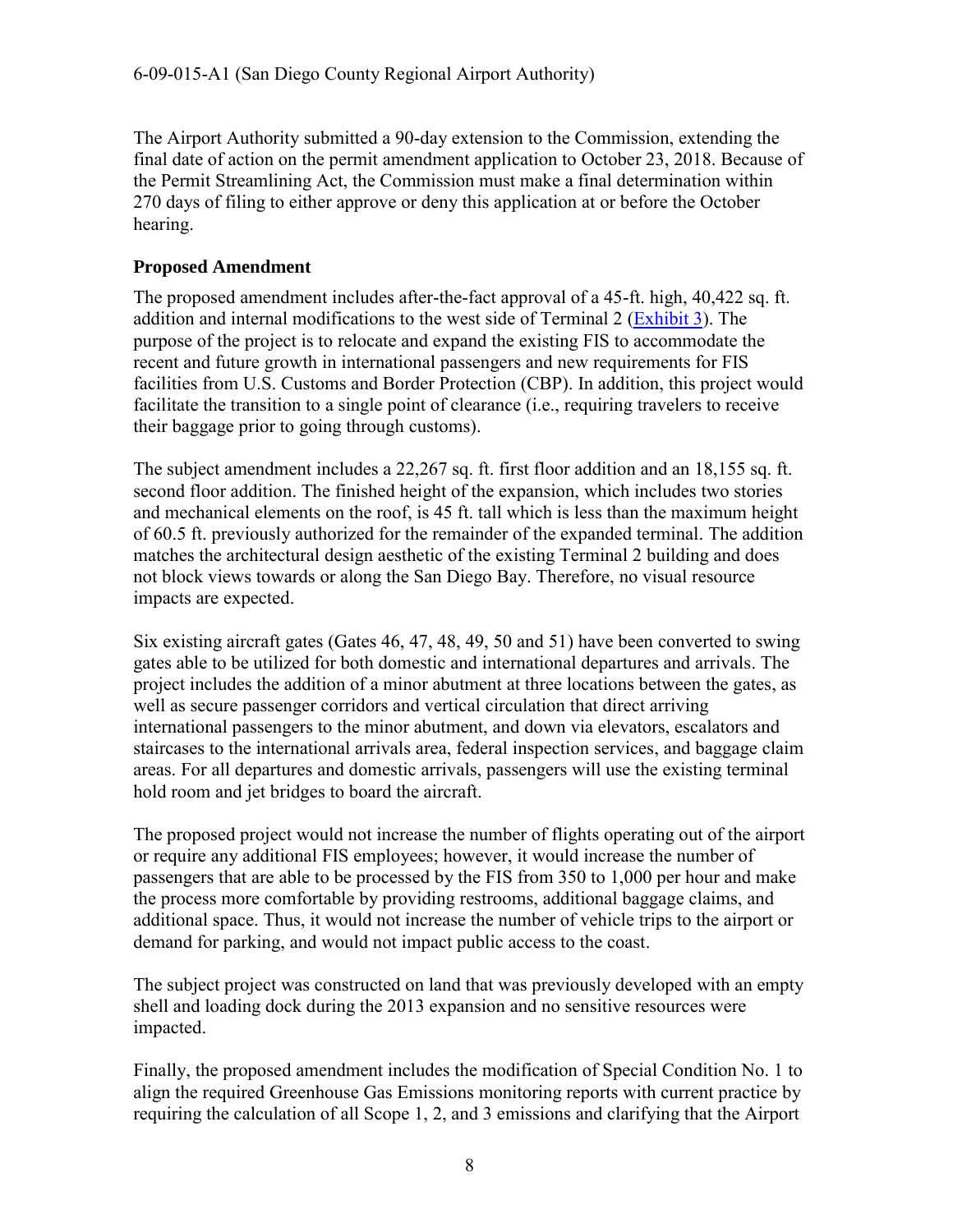The Airport Authority submitted a 90-day extension to the Commission, extending the final date of action on the permit amendment application to October 23, 2018. Because of the Permit Streamlining Act, the Commission must make a final determination within 270 days of filing to either approve or deny this application at or before the October hearing.

#### **Proposed Amendment**

The proposed amendment includes after-the-fact approval of a 45-ft. high, 40,422 sq. ft. addition and internal modifications to the west side of Terminal 2 [\(Exhibit 3\)](https://documents.coastal.ca.gov/reports/2018/8/w21a/w21a-8-2018-exhibits.pdf). The purpose of the project is to relocate and expand the existing FIS to accommodate the recent and future growth in international passengers and new requirements for FIS facilities from U.S. Customs and Border Protection (CBP). In addition, this project would facilitate the transition to a single point of clearance (i.e., requiring travelers to receive their baggage prior to going through customs).

The subject amendment includes a 22,267 sq. ft. first floor addition and an 18,155 sq. ft. second floor addition. The finished height of the expansion, which includes two stories and mechanical elements on the roof, is 45 ft. tall which is less than the maximum height of 60.5 ft. previously authorized for the remainder of the expanded terminal. The addition matches the architectural design aesthetic of the existing Terminal 2 building and does not block views towards or along the San Diego Bay. Therefore, no visual resource impacts are expected.

Six existing aircraft gates (Gates 46, 47, 48, 49, 50 and 51) have been converted to swing gates able to be utilized for both domestic and international departures and arrivals. The project includes the addition of a minor abutment at three locations between the gates, as well as secure passenger corridors and vertical circulation that direct arriving international passengers to the minor abutment, and down via elevators, escalators and staircases to the international arrivals area, federal inspection services, and baggage claim areas. For all departures and domestic arrivals, passengers will use the existing terminal hold room and jet bridges to board the aircraft.

The proposed project would not increase the number of flights operating out of the airport or require any additional FIS employees; however, it would increase the number of passengers that are able to be processed by the FIS from 350 to 1,000 per hour and make the process more comfortable by providing restrooms, additional baggage claims, and additional space. Thus, it would not increase the number of vehicle trips to the airport or demand for parking, and would not impact public access to the coast.

The subject project was constructed on land that was previously developed with an empty shell and loading dock during the 2013 expansion and no sensitive resources were impacted.

Finally, the proposed amendment includes the modification of Special Condition No. 1 to align the required Greenhouse Gas Emissions monitoring reports with current practice by requiring the calculation of all Scope 1, 2, and 3 emissions and clarifying that the Airport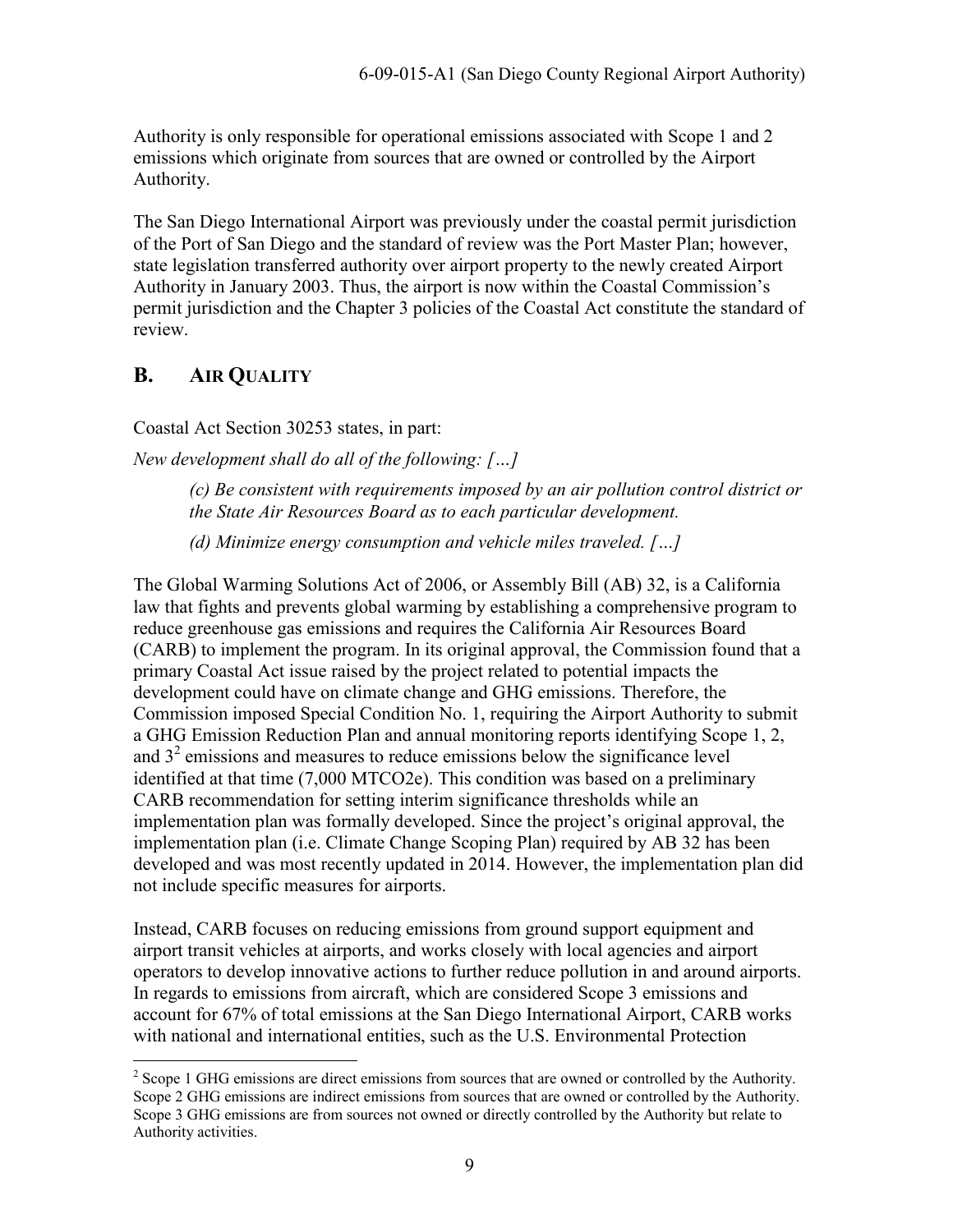Authority is only responsible for operational emissions associated with Scope 1 and 2 emissions which originate from sources that are owned or controlled by the Airport Authority.

The San Diego International Airport was previously under the coastal permit jurisdiction of the Port of San Diego and the standard of review was the Port Master Plan; however, state legislation transferred authority over airport property to the newly created Airport Authority in January 2003. Thus, the airport is now within the Coastal Commission's permit jurisdiction and the Chapter 3 policies of the Coastal Act constitute the standard of review.

# <span id="page-8-0"></span>**B. AIR QUALITY**

 $\overline{a}$ 

Coastal Act Section 30253 states, in part:

*New development shall do all of the following: […]*

*(c) Be consistent with requirements imposed by an air pollution control district or the State Air Resources Board as to each particular development.* 

*(d) Minimize energy consumption and vehicle miles traveled. […]* 

The Global Warming Solutions Act of 2006, or Assembly Bill (AB) 32, is a California law that fights and prevents global warming by establishing a comprehensive program to reduce greenhouse gas emissions and requires the California Air Resources Board (CARB) to implement the program. In its original approval, the Commission found that a primary Coastal Act issue raised by the project related to potential impacts the development could have on climate change and GHG emissions. Therefore, the Commission imposed Special Condition No. 1, requiring the Airport Authority to submit a GHG Emission Reduction Plan and annual monitoring reports identifying Scope 1, 2, and  $3<sup>2</sup>$  emissions and measures to reduce emissions below the significance level identified at that time (7,000 MTCO2e). This condition was based on a preliminary CARB recommendation for setting interim significance thresholds while an implementation plan was formally developed. Since the project's original approval, the implementation plan (i.e. Climate Change Scoping Plan) required by AB 32 has been developed and was most recently updated in 2014. However, the implementation plan did not include specific measures for airports.

Instead, CARB focuses on reducing emissions from ground support equipment and airport transit vehicles at airports, and works closely with local agencies and airport operators to develop innovative actions to further reduce pollution in and around airports. In regards to emissions from aircraft, which are considered Scope 3 emissions and account for 67% of total emissions at the San Diego International Airport, CARB works with national and international entities, such as the U.S. Environmental Protection

 $2^{2}$  Scope 1 GHG emissions are direct emissions from sources that are owned or controlled by the Authority. Scope 2 GHG emissions are indirect emissions from sources that are owned or controlled by the Authority. Scope 3 GHG emissions are from sources not owned or directly controlled by the Authority but relate to Authority activities.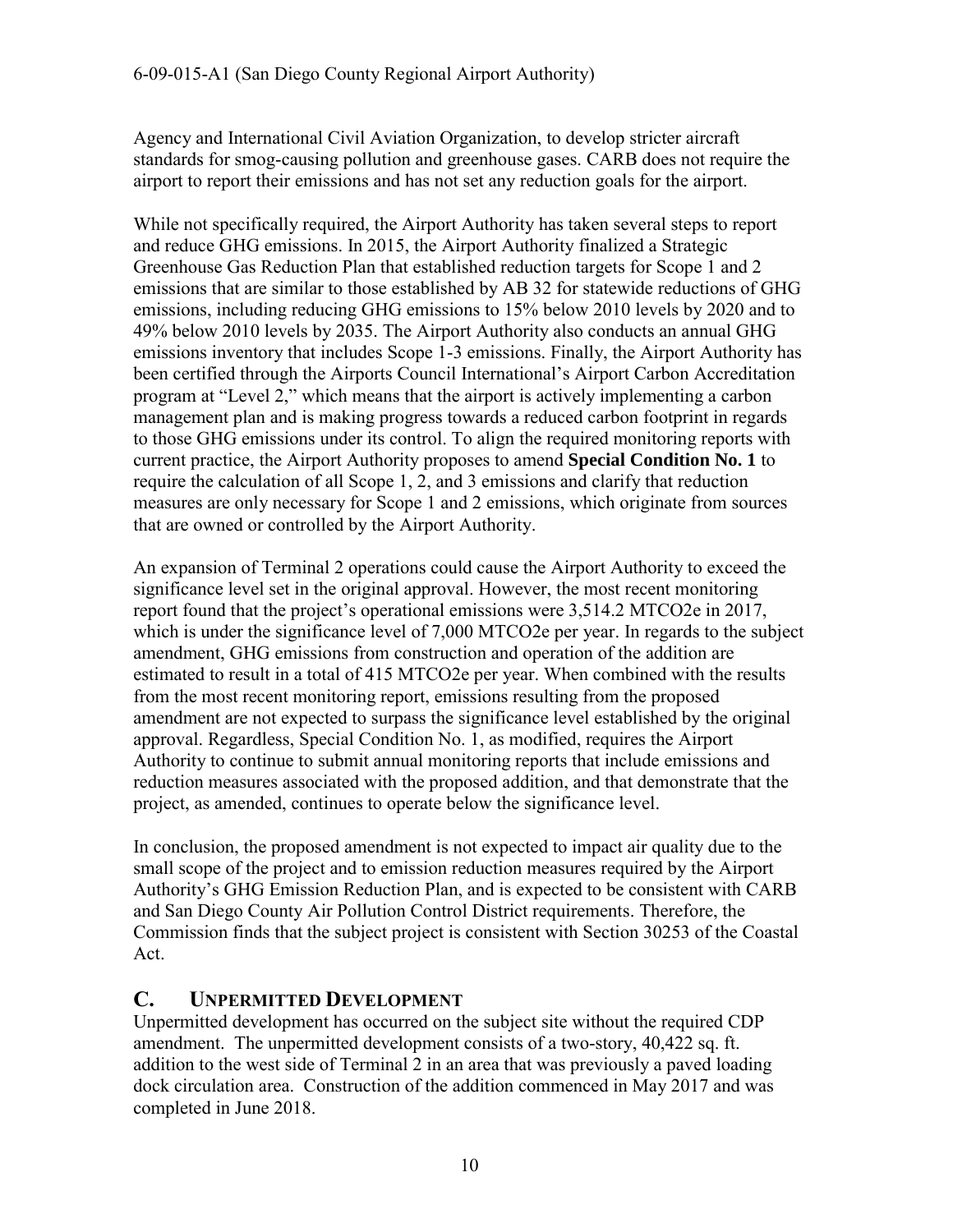Agency and International Civil Aviation Organization, to develop stricter aircraft standards for smog-causing pollution and greenhouse gases. CARB does not require the airport to report their emissions and has not set any reduction goals for the airport.

While not specifically required, the Airport Authority has taken several steps to report and reduce GHG emissions. In 2015, the Airport Authority finalized a Strategic Greenhouse Gas Reduction Plan that established reduction targets for Scope 1 and 2 emissions that are similar to those established by AB 32 for statewide reductions of GHG emissions, including reducing GHG emissions to 15% below 2010 levels by 2020 and to 49% below 2010 levels by 2035. The Airport Authority also conducts an annual GHG emissions inventory that includes Scope 1-3 emissions. Finally, the Airport Authority has been certified through the Airports Council International's Airport Carbon Accreditation program at "Level 2," which means that the airport is actively implementing a carbon management plan and is making progress towards a reduced carbon footprint in regards to those GHG emissions under its control. To align the required monitoring reports with current practice, the Airport Authority proposes to amend **Special Condition No. 1** to require the calculation of all Scope 1, 2, and 3 emissions and clarify that reduction measures are only necessary for Scope 1 and 2 emissions, which originate from sources that are owned or controlled by the Airport Authority.

An expansion of Terminal 2 operations could cause the Airport Authority to exceed the significance level set in the original approval. However, the most recent monitoring report found that the project's operational emissions were 3,514.2 MTCO2e in 2017, which is under the significance level of 7,000 MTCO2e per year. In regards to the subject amendment, GHG emissions from construction and operation of the addition are estimated to result in a total of 415 MTCO2e per year. When combined with the results from the most recent monitoring report, emissions resulting from the proposed amendment are not expected to surpass the significance level established by the original approval. Regardless, Special Condition No. 1, as modified, requires the Airport Authority to continue to submit annual monitoring reports that include emissions and reduction measures associated with the proposed addition, and that demonstrate that the project, as amended, continues to operate below the significance level.

In conclusion, the proposed amendment is not expected to impact air quality due to the small scope of the project and to emission reduction measures required by the Airport Authority's GHG Emission Reduction Plan, and is expected to be consistent with CARB and San Diego County Air Pollution Control District requirements. Therefore, the Commission finds that the subject project is consistent with Section 30253 of the Coastal Act.

# <span id="page-9-0"></span>**C. UNPERMITTED DEVELOPMENT**

Unpermitted development has occurred on the subject site without the required CDP amendment. The unpermitted development consists of a two-story, 40,422 sq. ft. addition to the west side of Terminal 2 in an area that was previously a paved loading dock circulation area. Construction of the addition commenced in May 2017 and was completed in June 2018.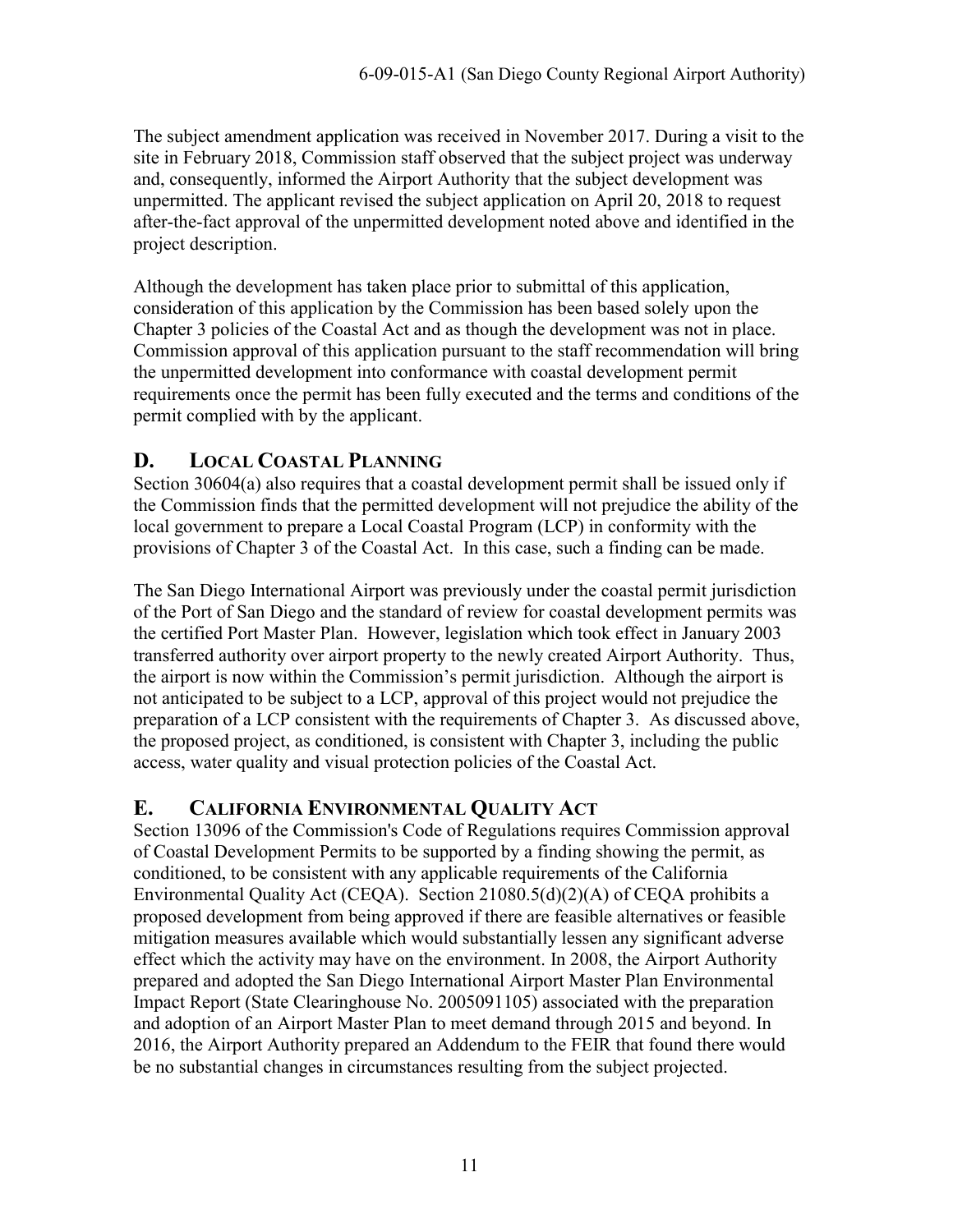The subject amendment application was received in November 2017. During a visit to the site in February 2018, Commission staff observed that the subject project was underway and, consequently, informed the Airport Authority that the subject development was unpermitted. The applicant revised the subject application on April 20, 2018 to request after-the-fact approval of the unpermitted development noted above and identified in the project description.

Although the development has taken place prior to submittal of this application, consideration of this application by the Commission has been based solely upon the Chapter 3 policies of the Coastal Act and as though the development was not in place. Commission approval of this application pursuant to the staff recommendation will bring the unpermitted development into conformance with coastal development permit requirements once the permit has been fully executed and the terms and conditions of the permit complied with by the applicant.

# <span id="page-10-0"></span>**D. LOCAL COASTAL PLANNING**

Section 30604(a) also requires that a coastal development permit shall be issued only if the Commission finds that the permitted development will not prejudice the ability of the local government to prepare a Local Coastal Program (LCP) in conformity with the provisions of Chapter 3 of the Coastal Act. In this case, such a finding can be made.

The San Diego International Airport was previously under the coastal permit jurisdiction of the Port of San Diego and the standard of review for coastal development permits was the certified Port Master Plan. However, legislation which took effect in January 2003 transferred authority over airport property to the newly created Airport Authority. Thus, the airport is now within the Commission's permit jurisdiction. Although the airport is not anticipated to be subject to a LCP, approval of this project would not prejudice the preparation of a LCP consistent with the requirements of Chapter 3. As discussed above, the proposed project, as conditioned, is consistent with Chapter 3, including the public access, water quality and visual protection policies of the Coastal Act.

# <span id="page-10-1"></span>**E. CALIFORNIA ENVIRONMENTAL QUALITY ACT**

Section 13096 of the Commission's Code of Regulations requires Commission approval of Coastal Development Permits to be supported by a finding showing the permit, as conditioned, to be consistent with any applicable requirements of the California Environmental Quality Act (CEQA). Section 21080.5(d)(2)(A) of CEQA prohibits a proposed development from being approved if there are feasible alternatives or feasible mitigation measures available which would substantially lessen any significant adverse effect which the activity may have on the environment. In 2008, the Airport Authority prepared and adopted the San Diego International Airport Master Plan Environmental Impact Report (State Clearinghouse No. 2005091105) associated with the preparation and adoption of an Airport Master Plan to meet demand through 2015 and beyond. In 2016, the Airport Authority prepared an Addendum to the FEIR that found there would be no substantial changes in circumstances resulting from the subject projected.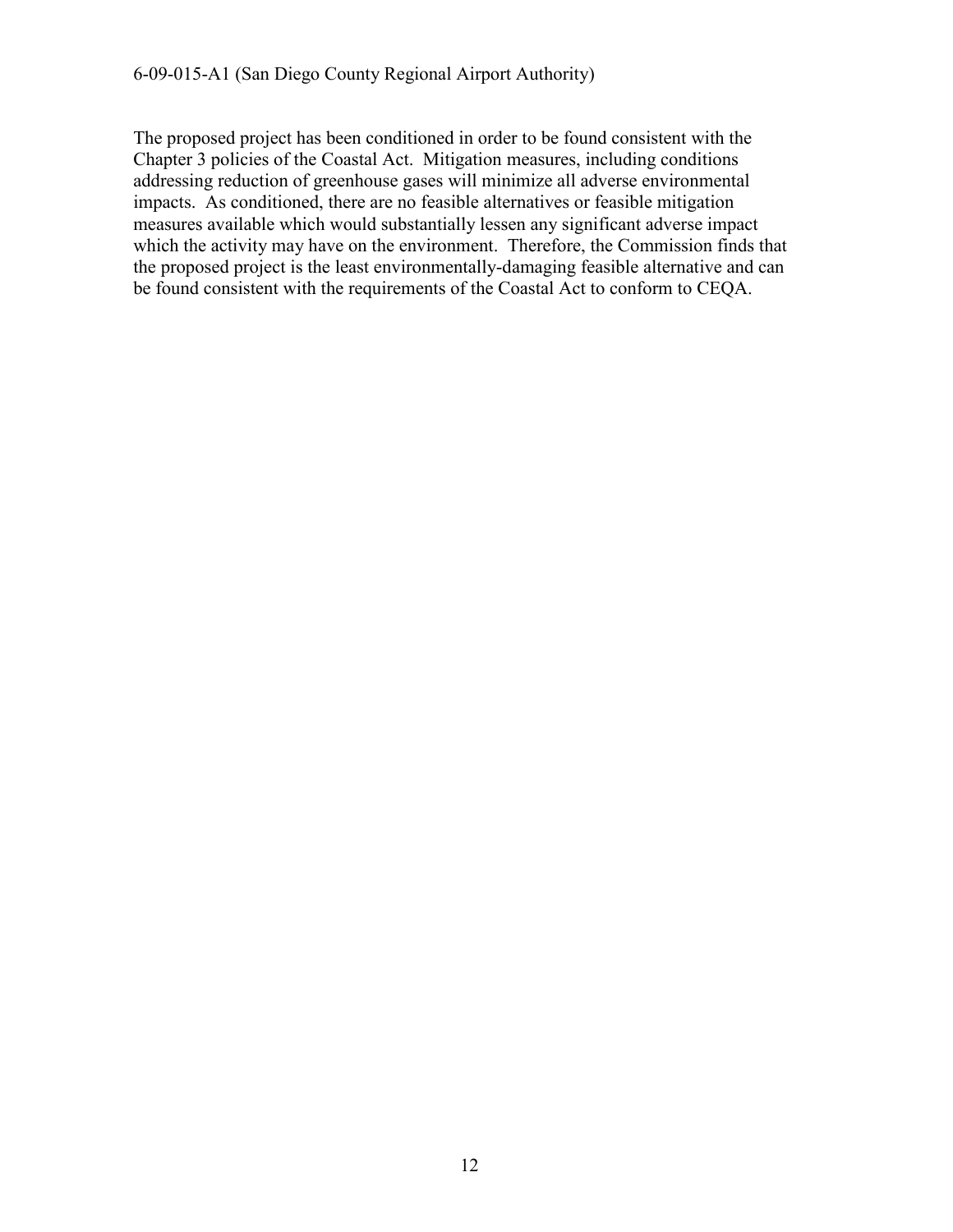The proposed project has been conditioned in order to be found consistent with the Chapter 3 policies of the Coastal Act. Mitigation measures, including conditions addressing reduction of greenhouse gases will minimize all adverse environmental impacts. As conditioned, there are no feasible alternatives or feasible mitigation measures available which would substantially lessen any significant adverse impact which the activity may have on the environment. Therefore, the Commission finds that the proposed project is the least environmentally-damaging feasible alternative and can be found consistent with the requirements of the Coastal Act to conform to CEQA.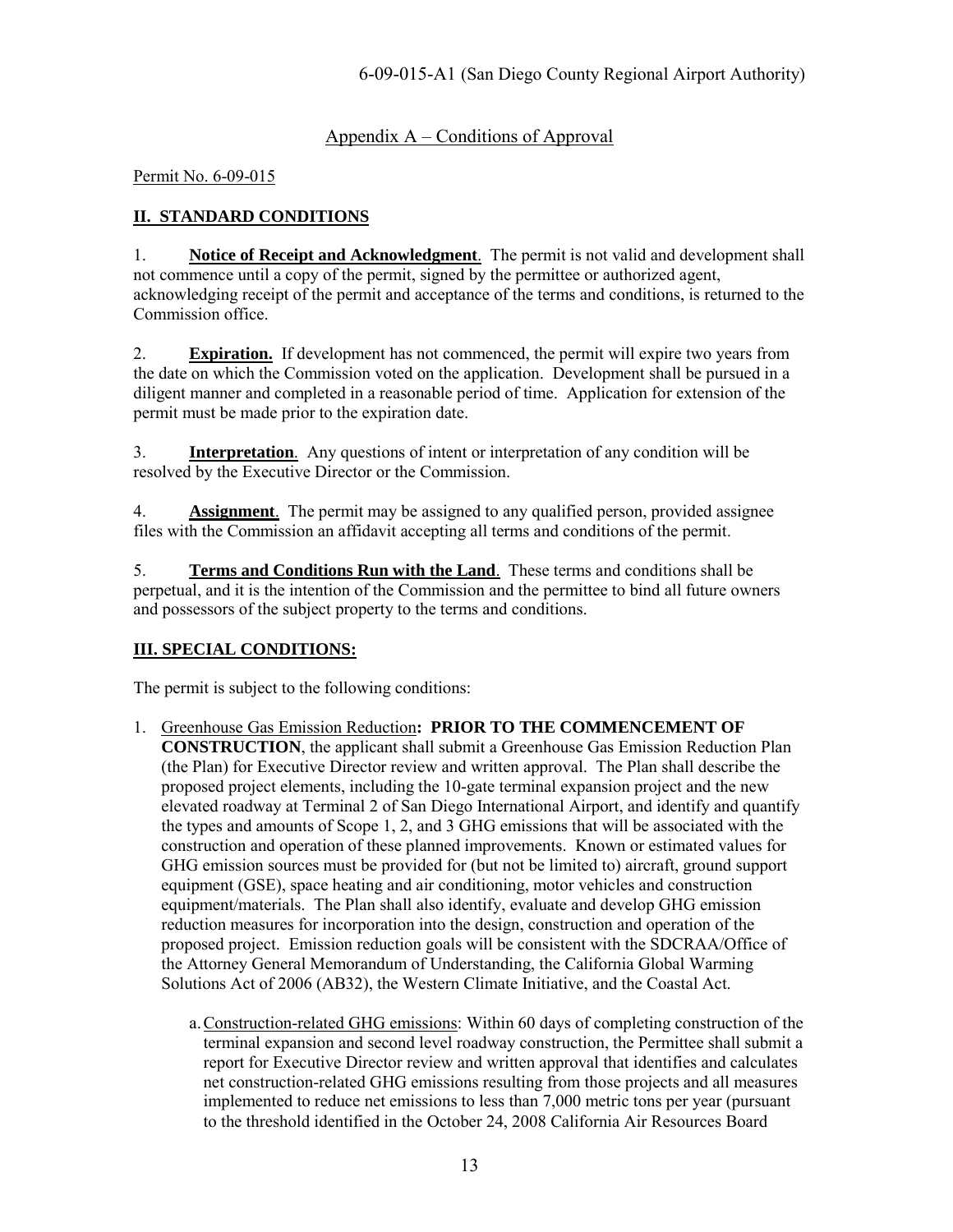### Appendix  $A$  – Conditions of Approval

<span id="page-12-0"></span>Permit No. 6-09-015

#### **II. STANDARD CONDITIONS**

1. **Notice of Receipt and Acknowledgment**. The permit is not valid and development shall not commence until a copy of the permit, signed by the permittee or authorized agent, acknowledging receipt of the permit and acceptance of the terms and conditions, is returned to the Commission office.

2. **Expiration.** If development has not commenced, the permit will expire two years from the date on which the Commission voted on the application. Development shall be pursued in a diligent manner and completed in a reasonable period of time. Application for extension of the permit must be made prior to the expiration date.

3. **Interpretation**. Any questions of intent or interpretation of any condition will be resolved by the Executive Director or the Commission.

4. **Assignment**. The permit may be assigned to any qualified person, provided assignee files with the Commission an affidavit accepting all terms and conditions of the permit.

5. **Terms and Conditions Run with the Land**. These terms and conditions shall be perpetual, and it is the intention of the Commission and the permittee to bind all future owners and possessors of the subject property to the terms and conditions.

#### **III. SPECIAL CONDITIONS:**

The permit is subject to the following conditions:

- 1. Greenhouse Gas Emission Reduction**: PRIOR TO THE COMMENCEMENT OF CONSTRUCTION**, the applicant shall submit a Greenhouse Gas Emission Reduction Plan (the Plan) for Executive Director review and written approval. The Plan shall describe the proposed project elements, including the 10-gate terminal expansion project and the new elevated roadway at Terminal 2 of San Diego International Airport, and identify and quantify the types and amounts of Scope 1, 2, and 3 GHG emissions that will be associated with the construction and operation of these planned improvements. Known or estimated values for GHG emission sources must be provided for (but not be limited to) aircraft, ground support equipment (GSE), space heating and air conditioning, motor vehicles and construction equipment/materials. The Plan shall also identify, evaluate and develop GHG emission reduction measures for incorporation into the design, construction and operation of the proposed project. Emission reduction goals will be consistent with the SDCRAA/Office of the Attorney General Memorandum of Understanding, the California Global Warming Solutions Act of 2006 (AB32), the Western Climate Initiative, and the Coastal Act.
	- a.Construction-related GHG emissions: Within 60 days of completing construction of the terminal expansion and second level roadway construction, the Permittee shall submit a report for Executive Director review and written approval that identifies and calculates net construction-related GHG emissions resulting from those projects and all measures implemented to reduce net emissions to less than 7,000 metric tons per year (pursuant to the threshold identified in the October 24, 2008 California Air Resources Board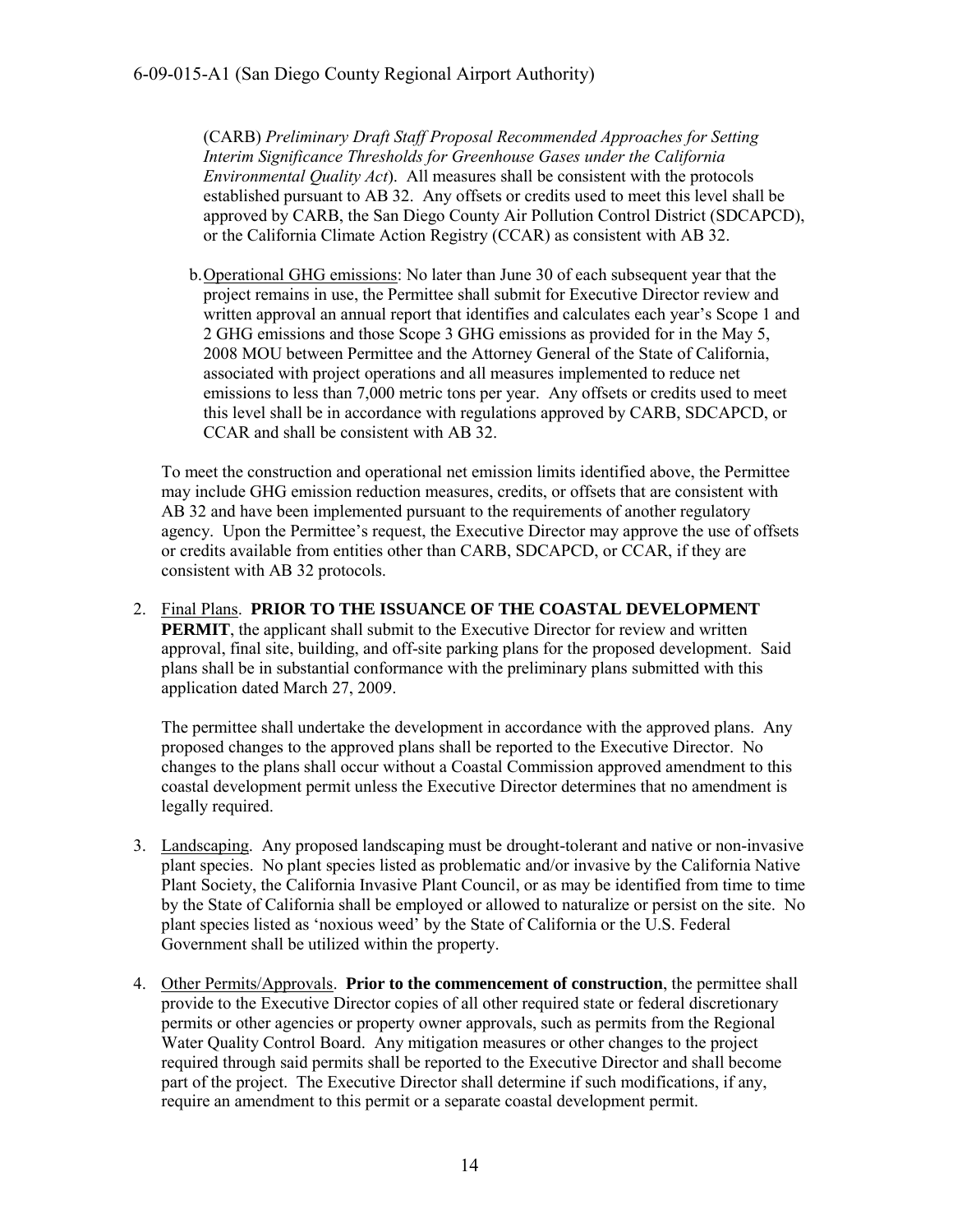(CARB) *Preliminary Draft Staff Proposal Recommended Approaches for Setting Interim Significance Thresholds for Greenhouse Gases under the California Environmental Quality Act*). All measures shall be consistent with the protocols established pursuant to AB 32. Any offsets or credits used to meet this level shall be approved by CARB, the San Diego County Air Pollution Control District (SDCAPCD), or the California Climate Action Registry (CCAR) as consistent with AB 32.

b.Operational GHG emissions: No later than June 30 of each subsequent year that the project remains in use, the Permittee shall submit for Executive Director review and written approval an annual report that identifies and calculates each year's Scope 1 and 2 GHG emissions and those Scope 3 GHG emissions as provided for in the May 5, 2008 MOU between Permittee and the Attorney General of the State of California, associated with project operations and all measures implemented to reduce net emissions to less than 7,000 metric tons per year. Any offsets or credits used to meet this level shall be in accordance with regulations approved by CARB, SDCAPCD, or CCAR and shall be consistent with AB 32.

To meet the construction and operational net emission limits identified above, the Permittee may include GHG emission reduction measures, credits, or offsets that are consistent with AB 32 and have been implemented pursuant to the requirements of another regulatory agency. Upon the Permittee's request, the Executive Director may approve the use of offsets or credits available from entities other than CARB, SDCAPCD, or CCAR, if they are consistent with AB 32 protocols.

2. Final Plans. **PRIOR TO THE ISSUANCE OF THE COASTAL DEVELOPMENT PERMIT**, the applicant shall submit to the Executive Director for review and written approval, final site, building, and off-site parking plans for the proposed development. Said plans shall be in substantial conformance with the preliminary plans submitted with this application dated March 27, 2009.

The permittee shall undertake the development in accordance with the approved plans. Any proposed changes to the approved plans shall be reported to the Executive Director. No changes to the plans shall occur without a Coastal Commission approved amendment to this coastal development permit unless the Executive Director determines that no amendment is legally required.

- 3. Landscaping. Any proposed landscaping must be drought-tolerant and native or non-invasive plant species. No plant species listed as problematic and/or invasive by the California Native Plant Society, the California Invasive Plant Council, or as may be identified from time to time by the State of California shall be employed or allowed to naturalize or persist on the site. No plant species listed as 'noxious weed' by the State of California or the U.S. Federal Government shall be utilized within the property.
- 4. Other Permits/Approvals. **Prior to the commencement of construction**, the permittee shall provide to the Executive Director copies of all other required state or federal discretionary permits or other agencies or property owner approvals, such as permits from the Regional Water Quality Control Board. Any mitigation measures or other changes to the project required through said permits shall be reported to the Executive Director and shall become part of the project. The Executive Director shall determine if such modifications, if any, require an amendment to this permit or a separate coastal development permit.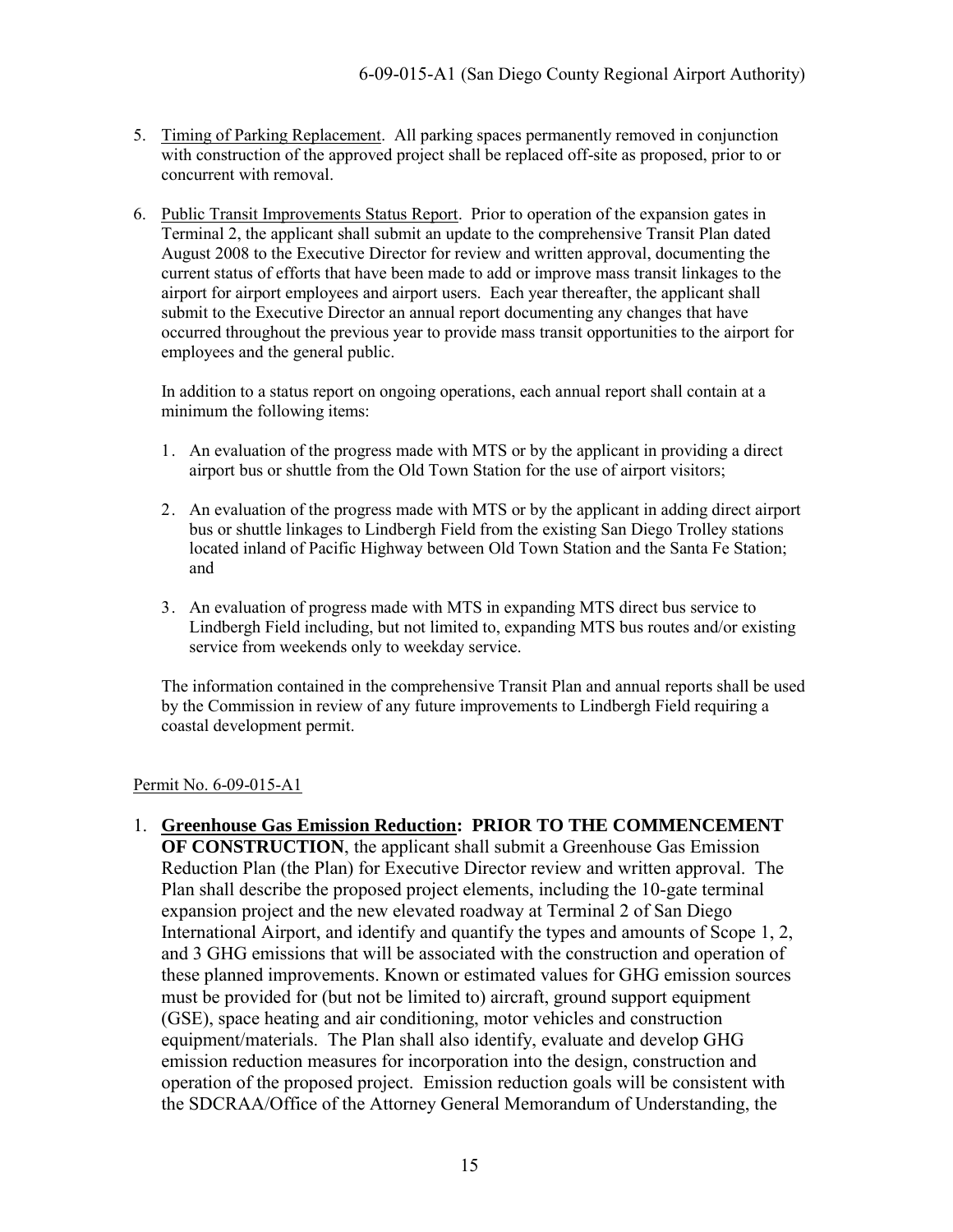- 5. Timing of Parking Replacement. All parking spaces permanently removed in conjunction with construction of the approved project shall be replaced off-site as proposed, prior to or concurrent with removal.
- 6. Public Transit Improvements Status Report. Prior to operation of the expansion gates in Terminal 2, the applicant shall submit an update to the comprehensive Transit Plan dated August 2008 to the Executive Director for review and written approval, documenting the current status of efforts that have been made to add or improve mass transit linkages to the airport for airport employees and airport users. Each year thereafter, the applicant shall submit to the Executive Director an annual report documenting any changes that have occurred throughout the previous year to provide mass transit opportunities to the airport for employees and the general public.

In addition to a status report on ongoing operations, each annual report shall contain at a minimum the following items:

- 1. An evaluation of the progress made with MTS or by the applicant in providing a direct airport bus or shuttle from the Old Town Station for the use of airport visitors;
- 2. An evaluation of the progress made with MTS or by the applicant in adding direct airport bus or shuttle linkages to Lindbergh Field from the existing San Diego Trolley stations located inland of Pacific Highway between Old Town Station and the Santa Fe Station; and
- 3. An evaluation of progress made with MTS in expanding MTS direct bus service to Lindbergh Field including, but not limited to, expanding MTS bus routes and/or existing service from weekends only to weekday service.

The information contained in the comprehensive Transit Plan and annual reports shall be used by the Commission in review of any future improvements to Lindbergh Field requiring a coastal development permit.

#### Permit No. 6-09-015-A1

1. **Greenhouse Gas Emission Reduction: PRIOR TO THE COMMENCEMENT OF CONSTRUCTION**, the applicant shall submit a Greenhouse Gas Emission Reduction Plan (the Plan) for Executive Director review and written approval. The Plan shall describe the proposed project elements, including the 10-gate terminal expansion project and the new elevated roadway at Terminal 2 of San Diego International Airport, and identify and quantify the types and amounts of Scope 1, 2, and 3 GHG emissions that will be associated with the construction and operation of these planned improvements. Known or estimated values for GHG emission sources must be provided for (but not be limited to) aircraft, ground support equipment (GSE), space heating and air conditioning, motor vehicles and construction equipment/materials. The Plan shall also identify, evaluate and develop GHG emission reduction measures for incorporation into the design, construction and operation of the proposed project. Emission reduction goals will be consistent with the SDCRAA/Office of the Attorney General Memorandum of Understanding, the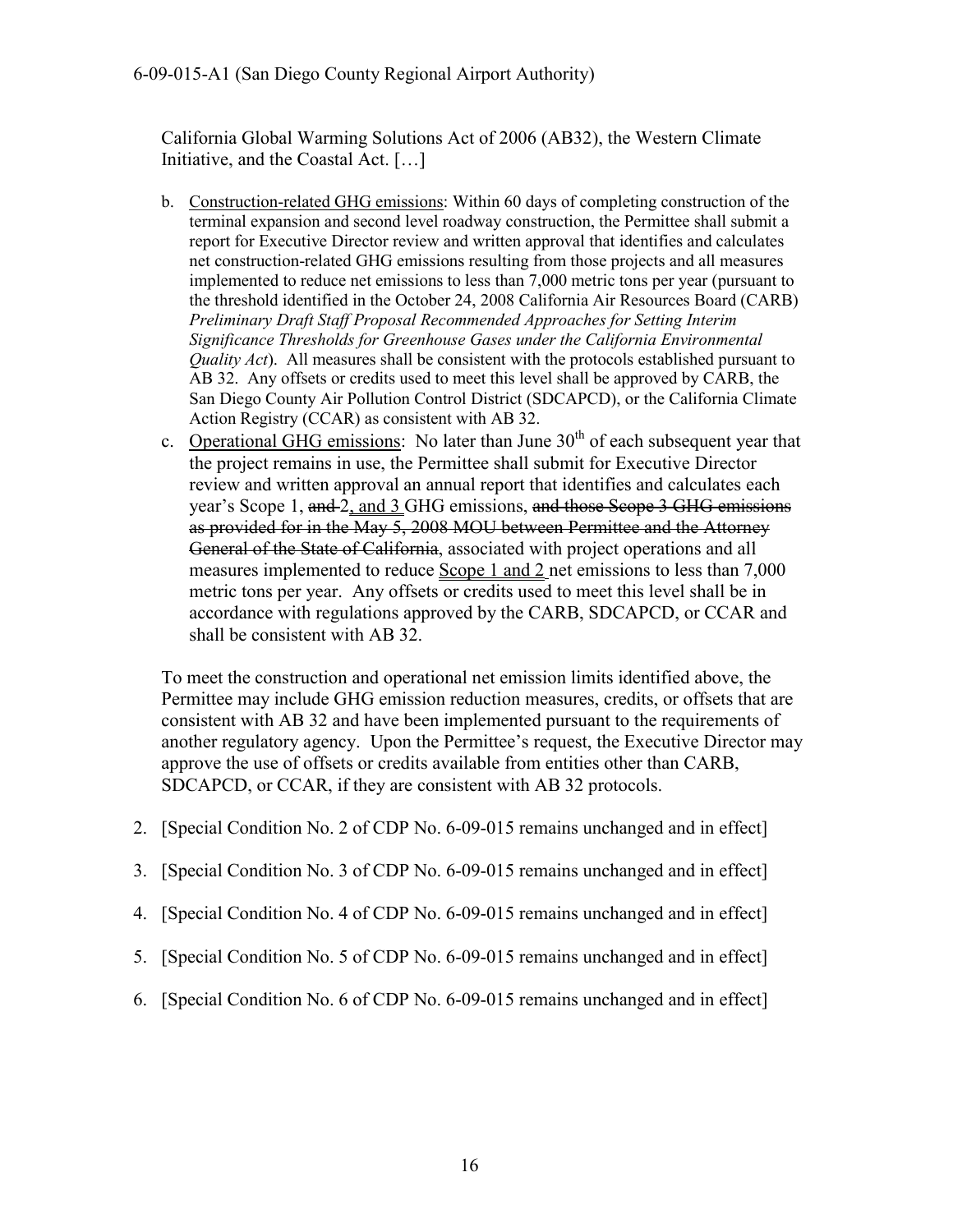California Global Warming Solutions Act of 2006 (AB32), the Western Climate Initiative, and the Coastal Act. […]

- b. Construction-related GHG emissions: Within 60 days of completing construction of the terminal expansion and second level roadway construction, the Permittee shall submit a report for Executive Director review and written approval that identifies and calculates net construction-related GHG emissions resulting from those projects and all measures implemented to reduce net emissions to less than 7,000 metric tons per year (pursuant to the threshold identified in the October 24, 2008 California Air Resources Board (CARB) *Preliminary Draft Staff Proposal Recommended Approaches for Setting Interim Significance Thresholds for Greenhouse Gases under the California Environmental Quality Act*). All measures shall be consistent with the protocols established pursuant to AB 32. Any offsets or credits used to meet this level shall be approved by CARB, the San Diego County Air Pollution Control District (SDCAPCD), or the California Climate Action Registry (CCAR) as consistent with AB 32.
- c. Operational GHG emissions: No later than June  $30<sup>th</sup>$  of each subsequent year that the project remains in use, the Permittee shall submit for Executive Director review and written approval an annual report that identifies and calculates each year's Scope 1, and 2, and 3 GHG emissions, and those Scope 3 GHG emissions as provided for in the May 5, 2008 MOU between Permittee and the Attorney General of the State of California, associated with project operations and all measures implemented to reduce Scope 1 and 2 net emissions to less than 7,000 metric tons per year. Any offsets or credits used to meet this level shall be in accordance with regulations approved by the CARB, SDCAPCD, or CCAR and shall be consistent with AB 32.

To meet the construction and operational net emission limits identified above, the Permittee may include GHG emission reduction measures, credits, or offsets that are consistent with AB 32 and have been implemented pursuant to the requirements of another regulatory agency. Upon the Permittee's request, the Executive Director may approve the use of offsets or credits available from entities other than CARB, SDCAPCD, or CCAR, if they are consistent with AB 32 protocols.

- 2. [Special Condition No. 2 of CDP No. 6-09-015 remains unchanged and in effect]
- 3. [Special Condition No. 3 of CDP No. 6-09-015 remains unchanged and in effect]
- 4. [Special Condition No. 4 of CDP No. 6-09-015 remains unchanged and in effect]
- 5. [Special Condition No. 5 of CDP No. 6-09-015 remains unchanged and in effect]
- 6. [Special Condition No. 6 of CDP No. 6-09-015 remains unchanged and in effect]